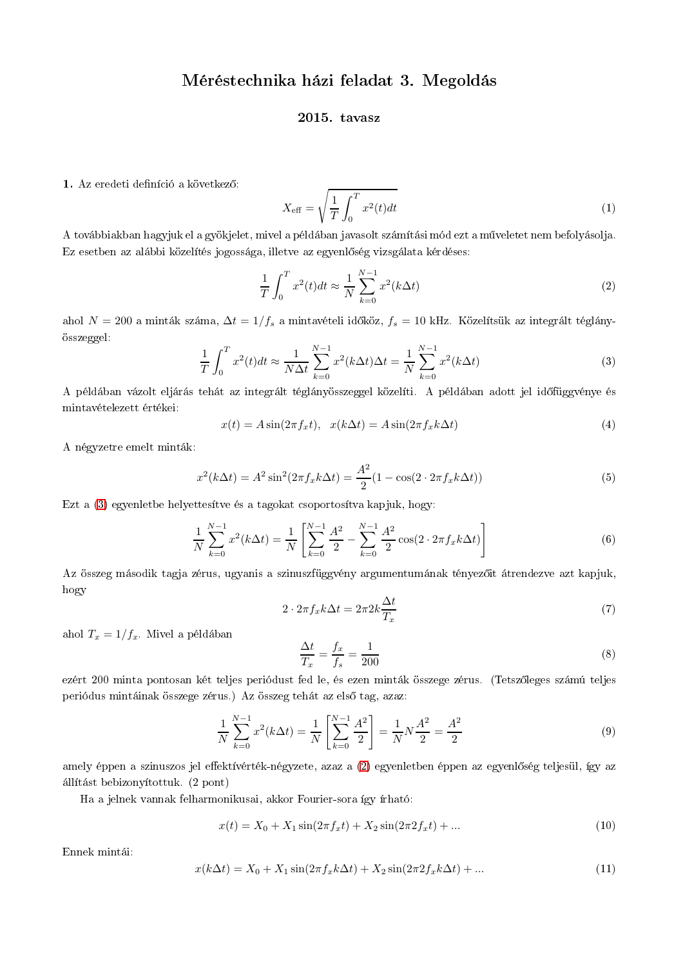## Méréstechnika házi feladat 3. Megoldás

## 2015. tavasz

1. Az eredeti definíció a következő:

$$
X_{\text{eff}} = \sqrt{\frac{1}{T} \int_0^T x^2(t) dt}
$$
 (1)

A továbbiakban hagyjuk el a gyökjelet, mivel a példában javasolt számítási mód ezt a műveletet nem befolyásolja. Ez esetben az alábbi közelítés jogossága, illetve az egyenlőség vizsgálata kérdéses:

$$
\frac{1}{T} \int_0^T x^2(t)dt \approx \frac{1}{N} \sum_{k=0}^{N-1} x^2(k\Delta t)
$$
\n(2)

ahol  $N = 200$  a minták száma,  $\Delta t = 1/f_s$  a mintavételi időköz,  $f_s = 10$  kHz. Közelítsük az integrált téglányösszeggel:

$$
\frac{1}{T} \int_0^T x^2(t)dt \approx \frac{1}{N\Delta t} \sum_{k=0}^{N-1} x^2(k\Delta t)\Delta t = \frac{1}{N} \sum_{k=0}^{N-1} x^2(k\Delta t)
$$
\n(3)

A példában vázolt eljárás tehát az integrált téglányösszeggel közelíti. A példában adott jel időfüggvénye és mintavételezett értékei:

$$
x(t) = A\sin(2\pi f_x t), \quad x(k\Delta t) = A\sin(2\pi f_x k\Delta t)
$$
\n<sup>(4)</sup>

A négyzetre emelt minták:

$$
x^{2}(k\Delta t) = A^{2}\sin^{2}(2\pi f_{x}k\Delta t) = \frac{A^{2}}{2}(1 - \cos(2 \cdot 2\pi f_{x}k\Delta t))
$$
\n(5)

Ezt a (3) egyenletbe helyettesítve és a tagokat csoportosítva kapjuk, hogy:

$$
\frac{1}{N} \sum_{k=0}^{N-1} x^2(k\Delta t) = \frac{1}{N} \left[ \sum_{k=0}^{N-1} \frac{A^2}{2} - \sum_{k=0}^{N-1} \frac{A^2}{2} \cos(2 \cdot 2\pi f_x k \Delta t) \right]
$$
(6)

Az összeg második tagja zérus, ugyanis a szinuszfüggvény argumentumának tényezőit átrendezve azt kapjuk, hogy

$$
2 \cdot 2\pi f_x k \Delta t = 2\pi 2k \frac{\Delta t}{T_x} \tag{7}
$$

ahol  $T_x = 1/f_x$ . Mivel a példában

$$
\frac{\Delta t}{T_x} = \frac{f_x}{f_s} = \frac{1}{200} \tag{8}
$$

ezért 200 minta pontosan két teljes periódust fed le, és ezen minták összege zérus. (Tetszőleges számú teljes periódus mintáinak összege zérus.) Az összeg tehát az első tag, azaz:

$$
\frac{1}{N} \sum_{k=0}^{N-1} x^2 (k \Delta t) = \frac{1}{N} \left[ \sum_{k=0}^{N-1} \frac{A^2}{2} \right] = \frac{1}{N} N \frac{A^2}{2} = \frac{A^2}{2}
$$
\n(9)

amely éppen a szinuszos jel effektívérték-négyzete, azaz a (2) egyenletben éppen az egyenlőség teljesül, így az állítást bebizonyítottuk. (2 pont)

Ha a jelnek vannak felharmonikusai, akkor Fourier-sora így írható:

$$
x(t) = X_0 + X_1 \sin(2\pi f_x t) + X_2 \sin(2\pi 2 f_x t) + \dots
$$
\n(10)

Ennek mintái:

$$
x(k\Delta t) = X_0 + X_1 \sin(2\pi f_x k \Delta t) + X_2 \sin(2\pi 2 f_x k \Delta t) + ... \tag{11}
$$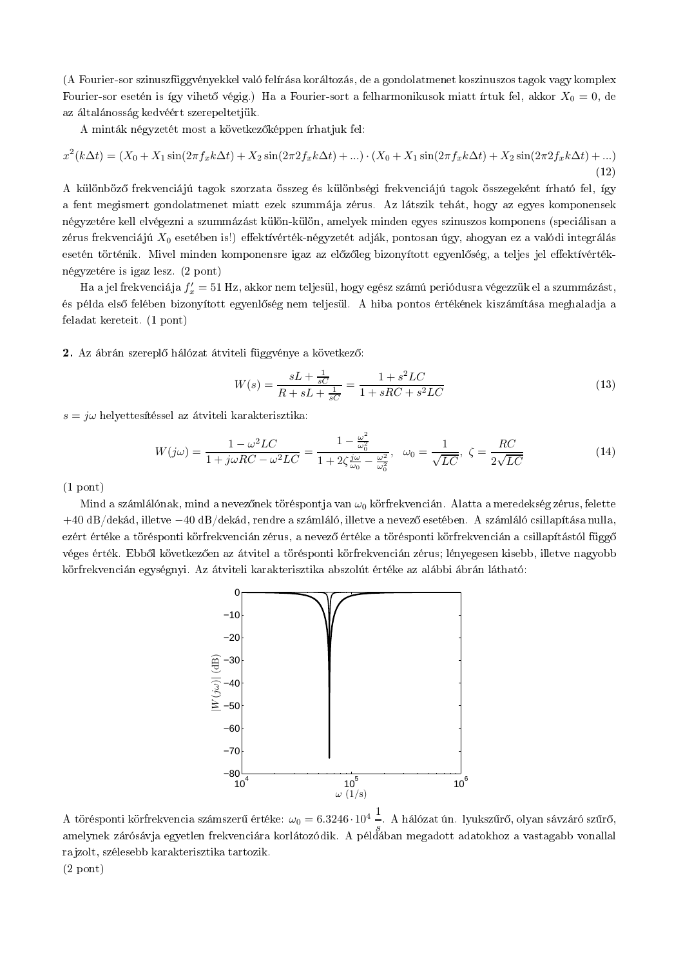(A Fourier-sor szinuszfüggvényekkel való felírása koráltozás, de a gondolatmenet koszinuszos tagok vagy komplex Fourier-sor esetén is így vihető végig.) Ha a Fourier-sort a felharmonikusok miatt írtuk fel, akkor  $X_0 = 0$ , de az általánosság kedvéért szerepeltetiük.

A minták négyzetét most a következőképpen írhatjuk fel:

$$
x^{2}(k\Delta t) = (X_{0} + X_{1}\sin(2\pi f_{x}k\Delta t) + X_{2}\sin(2\pi 2 f_{x}k\Delta t) + ...) \cdot (X_{0} + X_{1}\sin(2\pi f_{x}k\Delta t) + X_{2}\sin(2\pi 2 f_{x}k\Delta t) + ...)
$$
\n(12)

A különböző frekvenciájú tagok szorzata összeg és különbségi frekvenciájú tagok összegeként írható fel, így a fent megismert gondolatmenet miatt ezek szummája zérus. Az látszik tehát, hogy az egyes komponensek négyzetére kell elvégezni a szummázást külön-külön, amelyek minden egyes szinuszos komponens (speciálisan a zérus frekvenciájú  $X_0$  esetében is!) effektívérték-négyzetét adják, pontosan úgy, ahogyan ez a valódi integrálás esetén történik. Mivel minden komponensre igaz az előzőleg bizonyított egyenlőség, a teljes jel effektívértéknégyzetére is igaz lesz. (2 pont)

Ha a jel frekvenciája  $f'_x = 51$  Hz, akkor nem teljesül, hogy egész számú periódusra végezzük el a szummázást, és példa első felében bizonyított egyenlőség nem teljesül. A hiba pontos értékének kiszámítása meghaladja a feladat kereteit. (1 pont)

2. Az ábrán szereplő hálózat átviteli függvénye a következő:

$$
W(s) = \frac{sL + \frac{1}{sC}}{R + sL + \frac{1}{sC}} = \frac{1 + s^2 LC}{1 + sRC + s^2 LC}
$$
\n<sup>(13)</sup>

 $s = j\omega$  helyettesítéssel az átviteli karakterisztika:

$$
W(j\omega) = \frac{1 - \omega^2 LC}{1 + j\omega RC - \omega^2 LC} = \frac{1 - \frac{\omega^2}{\omega_0^2}}{1 + 2\zeta \frac{j\omega}{\omega_0} - \frac{\omega^2}{\omega_0^2}}, \quad \omega_0 = \frac{1}{\sqrt{LC}}, \quad \zeta = \frac{RC}{2\sqrt{LC}}
$$
(14)

 $(1$  pont)

Mind a számlálónak, mind a nevezőnek töréspontja van  $\omega_0$  körfrekvencián. Alatta a meredekség zérus, felette  $+40$  dB/dekád, illetve  $-40$  dB/dekád, rendre a számláló, illetve a nevező esetében. A számláló csillapítása nulla, ezért értéke a törésponti körfrekvencián zérus, a nevező értéke a törésponti körfrekvencián a csillapítástól függő véges érték. Ebből következően az átvitel a törésponti körfrekvencián zérus; lényegesen kisebb, illetve nagyobb körfrekvencián egységnyi. Az átviteli karakterisztika abszolút értéke az alábbi ábrán látható:



A törésponti körfrekvencia számszerű értéke:  $\omega_0 = 6.3246 \cdot 10^4$  –. A hálózat ún. lyukszűrő, olyan sávzáró szűrő, amelynek zárósávja egyetlen frekvenciára korlátozódik. A példában megadott adatokhoz a vastagabb vonallal rajzolt, szélesebb karakterisztika tartozik.  $(2$  pont)